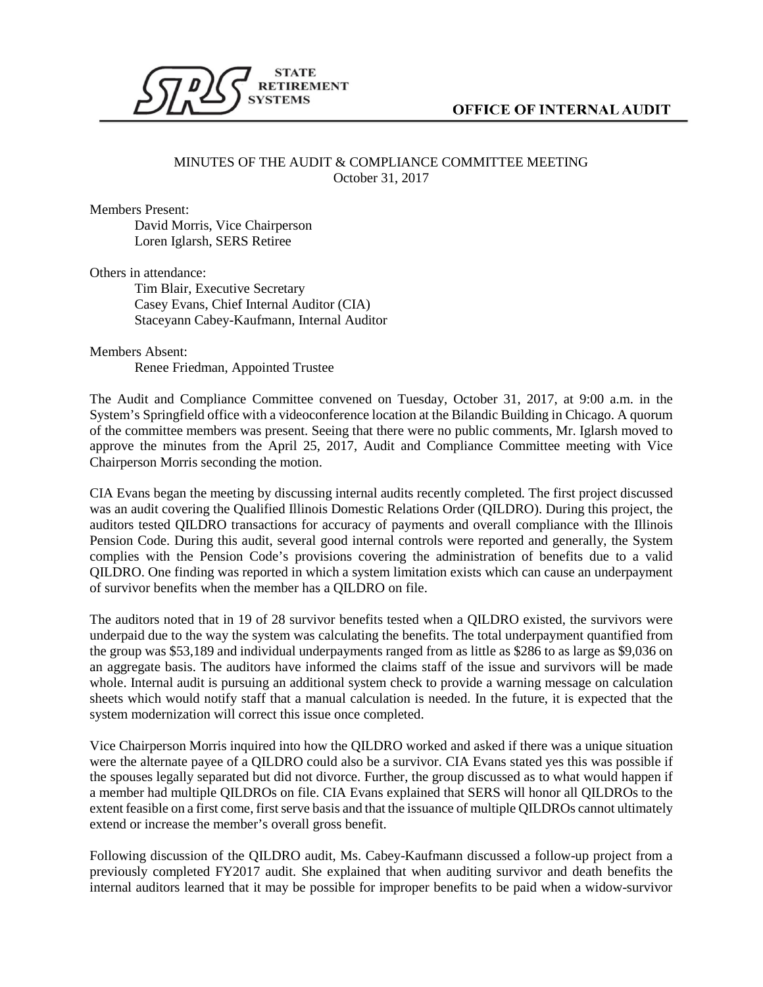

## MINUTES OF THE AUDIT & COMPLIANCE COMMITTEE MEETING October 31, 2017

Members Present:

David Morris, Vice Chairperson Loren Iglarsh, SERS Retiree

Others in attendance:

Tim Blair, Executive Secretary Casey Evans, Chief Internal Auditor (CIA) Staceyann Cabey-Kaufmann, Internal Auditor

Members Absent: Renee Friedman, Appointed Trustee

The Audit and Compliance Committee convened on Tuesday, October 31, 2017, at 9:00 a.m. in the System's Springfield office with a videoconference location at the Bilandic Building in Chicago. A quorum of the committee members was present. Seeing that there were no public comments, Mr. Iglarsh moved to approve the minutes from the April 25, 2017, Audit and Compliance Committee meeting with Vice Chairperson Morris seconding the motion.

CIA Evans began the meeting by discussing internal audits recently completed. The first project discussed was an audit covering the Qualified Illinois Domestic Relations Order (QILDRO). During this project, the auditors tested QILDRO transactions for accuracy of payments and overall compliance with the Illinois Pension Code. During this audit, several good internal controls were reported and generally, the System complies with the Pension Code's provisions covering the administration of benefits due to a valid QILDRO. One finding was reported in which a system limitation exists which can cause an underpayment of survivor benefits when the member has a QILDRO on file.

The auditors noted that in 19 of 28 survivor benefits tested when a QILDRO existed, the survivors were underpaid due to the way the system was calculating the benefits. The total underpayment quantified from the group was \$53,189 and individual underpayments ranged from as little as \$286 to as large as \$9,036 on an aggregate basis. The auditors have informed the claims staff of the issue and survivors will be made whole. Internal audit is pursuing an additional system check to provide a warning message on calculation sheets which would notify staff that a manual calculation is needed. In the future, it is expected that the system modernization will correct this issue once completed.

Vice Chairperson Morris inquired into how the QILDRO worked and asked if there was a unique situation were the alternate payee of a QILDRO could also be a survivor. CIA Evans stated yes this was possible if the spouses legally separated but did not divorce. Further, the group discussed as to what would happen if a member had multiple QILDROs on file. CIA Evans explained that SERS will honor all QILDROs to the extent feasible on a first come, first serve basis and that the issuance of multiple QILDROs cannot ultimately extend or increase the member's overall gross benefit.

Following discussion of the QILDRO audit, Ms. Cabey-Kaufmann discussed a follow-up project from a previously completed FY2017 audit. She explained that when auditing survivor and death benefits the internal auditors learned that it may be possible for improper benefits to be paid when a widow-survivor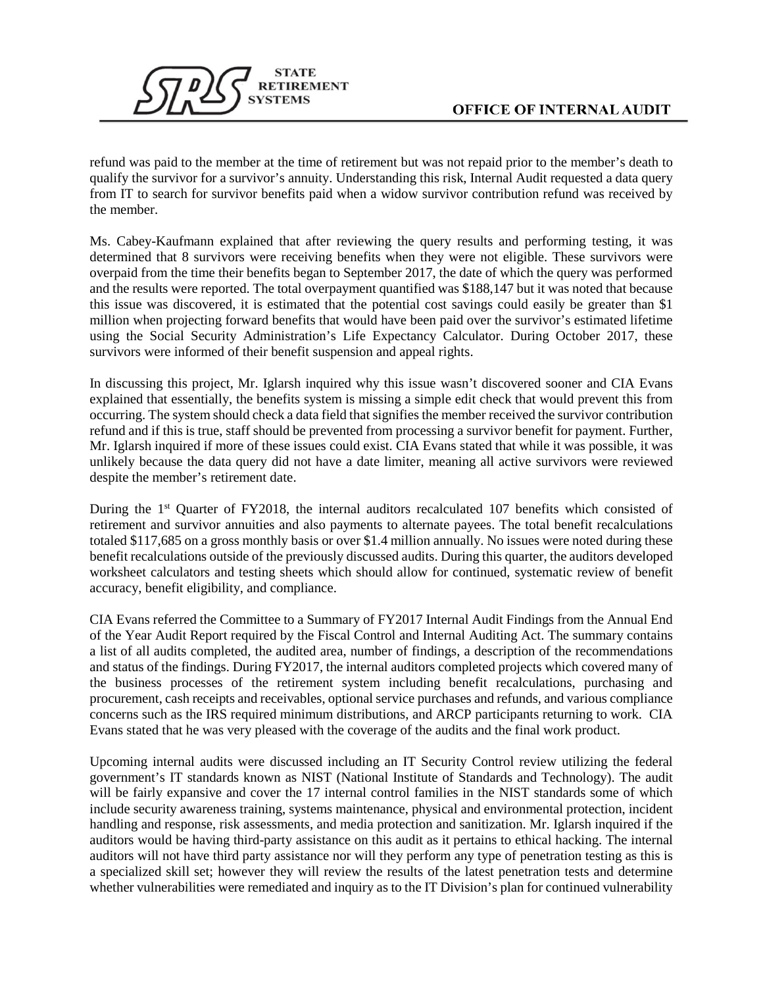

refund was paid to the member at the time of retirement but was not repaid prior to the member's death to qualify the survivor for a survivor's annuity. Understanding this risk, Internal Audit requested a data query from IT to search for survivor benefits paid when a widow survivor contribution refund was received by the member.

Ms. Cabey-Kaufmann explained that after reviewing the query results and performing testing, it was determined that 8 survivors were receiving benefits when they were not eligible. These survivors were overpaid from the time their benefits began to September 2017, the date of which the query was performed and the results were reported. The total overpayment quantified was \$188,147 but it was noted that because this issue was discovered, it is estimated that the potential cost savings could easily be greater than \$1 million when projecting forward benefits that would have been paid over the survivor's estimated lifetime using the Social Security Administration's Life Expectancy Calculator. During October 2017, these survivors were informed of their benefit suspension and appeal rights.

In discussing this project, Mr. Iglarsh inquired why this issue wasn't discovered sooner and CIA Evans explained that essentially, the benefits system is missing a simple edit check that would prevent this from occurring. The system should check a data field that signifies the member received the survivor contribution refund and if this is true, staff should be prevented from processing a survivor benefit for payment. Further, Mr. Iglarsh inquired if more of these issues could exist. CIA Evans stated that while it was possible, it was unlikely because the data query did not have a date limiter, meaning all active survivors were reviewed despite the member's retirement date.

During the 1<sup>st</sup> Quarter of FY2018, the internal auditors recalculated 107 benefits which consisted of retirement and survivor annuities and also payments to alternate payees. The total benefit recalculations totaled \$117,685 on a gross monthly basis or over \$1.4 million annually. No issues were noted during these benefit recalculations outside of the previously discussed audits. During this quarter, the auditors developed worksheet calculators and testing sheets which should allow for continued, systematic review of benefit accuracy, benefit eligibility, and compliance.

CIA Evans referred the Committee to a Summary of FY2017 Internal Audit Findings from the Annual End of the Year Audit Report required by the Fiscal Control and Internal Auditing Act. The summary contains a list of all audits completed, the audited area, number of findings, a description of the recommendations and status of the findings. During FY2017, the internal auditors completed projects which covered many of the business processes of the retirement system including benefit recalculations, purchasing and procurement, cash receipts and receivables, optional service purchases and refunds, and various compliance concerns such as the IRS required minimum distributions, and ARCP participants returning to work. CIA Evans stated that he was very pleased with the coverage of the audits and the final work product.

Upcoming internal audits were discussed including an IT Security Control review utilizing the federal government's IT standards known as NIST (National Institute of Standards and Technology). The audit will be fairly expansive and cover the 17 internal control families in the NIST standards some of which include security awareness training, systems maintenance, physical and environmental protection, incident handling and response, risk assessments, and media protection and sanitization. Mr. Iglarsh inquired if the auditors would be having third-party assistance on this audit as it pertains to ethical hacking. The internal auditors will not have third party assistance nor will they perform any type of penetration testing as this is a specialized skill set; however they will review the results of the latest penetration tests and determine whether vulnerabilities were remediated and inquiry as to the IT Division's plan for continued vulnerability